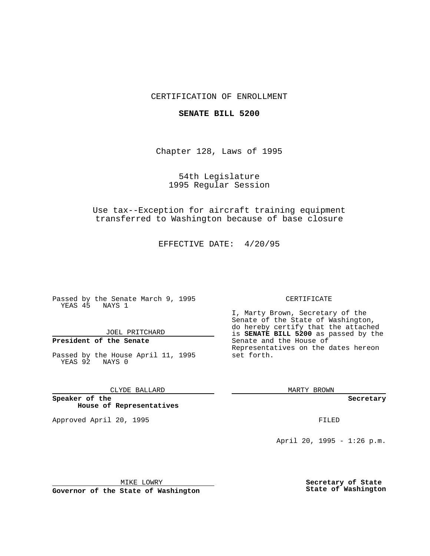### CERTIFICATION OF ENROLLMENT

#### **SENATE BILL 5200**

Chapter 128, Laws of 1995

54th Legislature 1995 Regular Session

Use tax--Exception for aircraft training equipment transferred to Washington because of base closure

EFFECTIVE DATE: 4/20/95

Passed by the Senate March 9, 1995 YEAS 45 NAYS 1

JOEL PRITCHARD

# **President of the Senate**

Passed by the House April 11, 1995 YEAS 92 NAYS 0

CLYDE BALLARD

**Speaker of the House of Representatives**

Approved April 20, 1995 FILED

#### CERTIFICATE

I, Marty Brown, Secretary of the Senate of the State of Washington, do hereby certify that the attached is **SENATE BILL 5200** as passed by the Senate and the House of Representatives on the dates hereon set forth.

MARTY BROWN

**Secretary**

April 20, 1995 - 1:26 p.m.

MIKE LOWRY

**Governor of the State of Washington**

**Secretary of State State of Washington**